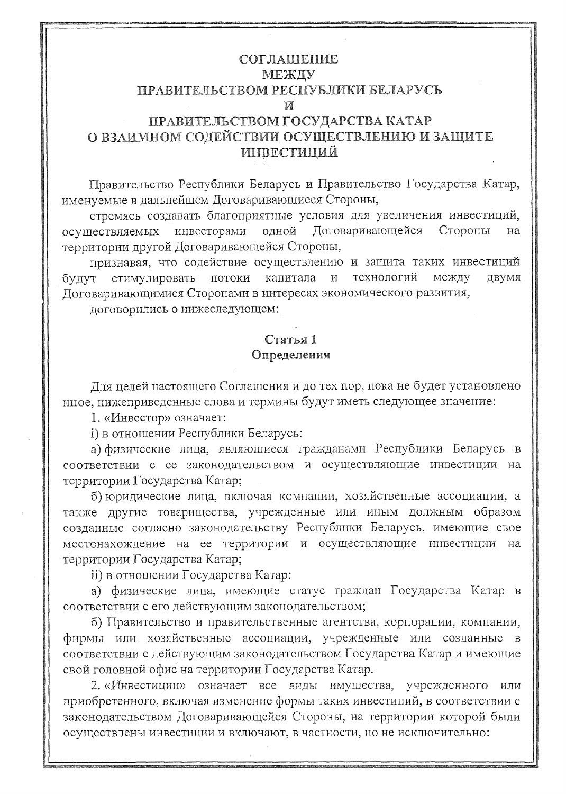### СОГЛАШЕНИЕ МЕЖДУ ПРАВИТЕЛЬСТВОМ РЕСПУБЛИКИ БЕЛАРУСЬ M ПРАВИТЕЛЬСТВОМ ГОСУДАРСТВА КАТАР О ВЗАИМНОМ СОДЕЙСТВИИ ОСУЩЕСТВЛЕНИЮ И ЗАЩИТЕ

#### **ИНВЕСТИЦИЙ**

Правительство Республики Беларусь и Правительство Государства Катар, именуемые в дальнейшем Договаривающиеся Стороны,

стремясь создавать благоприятные условия для увеличения инвестиций, Договаривающейся одной Стороны на осуществляемых инвесторами территории другой Договаривающейся Стороны,

признавая, что содействие осуществлению и защита таких инвестиций капитала технологий между ДВУМЯ стимулировать потоки  $\mathbf{M}$ будут Договаривающимися Сторонами в интересах экономического развития,

договорились о нижеследующем:

### Статья 1 Определения

Лля целей настоящего Соглашения и до тех пор, пока не будет установлено иное, нижеприведенные слова и термины будут иметь следующее значение:

1. «Инвестор» означает:

і) в отношении Республики Беларусь:

а) физические лица, являющиеся гражданами Республики Беларусь в соответствии с ее законодательством и осуществляющие инвестиции на территории Государства Катар;

б) юридические лица, включая компании, хозяйственные ассоциации, а также другие товарищества, учрежденные или иным должным образом созданные согласно законодательству Республики Беларусь, имеющие свое местонахождение на ее территории и осуществляющие инвестиции на территории Государства Катар;

іі) в отношении Государства Катар:

а) физические лица, имеющие статус граждан Государства Катар в соответствии с его действующим законодательством;

б) Правительство и правительственные агентства, корпорации, компании, фирмы или хозяйственные ассоциации, учрежденные или созданные в соответствии с действующим законодательством Государства Катар и имеющие свой головной офис на территории Государства Катар.

2. «Инвестиции» означает все виды имущества, учрежденного или приобретенного, включая изменение формы таких инвестиций, в соответствии с законодательством Договаривающейся Стороны, на территории которой были осуществлены инвестиции и включают, в частности, но не исключительно: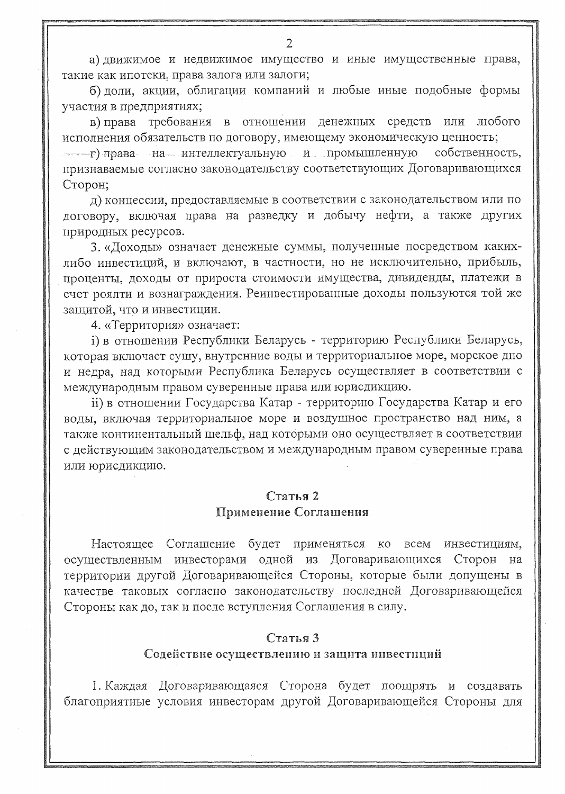а) движимое и недвижимое имущество и иные имущественные права, такие как ипотеки, права залога или залоги;

б) доли, акции, облигации компаний и любые иные подобные формы участия в предприятиях;

в) права требования в отношении денежных средств или любого исполнения обязательств по договору, имеющему экономическую ценность;

- ғ) права на интеллектуальную и промышленную собственность. признаваемые согласно законодательству соответствующих Договаривающихся Сторон;

д) концессии, предоставляемые в соответствии с законодательством или по договору, включая права на разведку и добычу нефти, а также других природных ресурсов.

3. «Доходы» означает денежные суммы, полученные посредством какихлибо инвестиций, и включают, в частности, но не исключительно, прибыль, проценты, доходы от прироста стоимости имущества, дивиденды, платежи в счет роялти и вознаграждения. Реинвестированные доходы пользуются той же защитой, что и инвестиции.

4. «Территория» означает:

і) в отношении Республики Беларусь - территорию Республики Беларусь, которая включает сушу, внутренние воды и территориальное море, морское дно и недра, над которыми Республика Беларусь осуществляет в соответствии с международным правом суверенные права или юрисдикцию.

іі) в отношении Государства Катар - территорию Государства Катар и его воды, включая территориальное море и воздушное пространство над ним, а также континентальный шельф, над которыми оно осуществляет в соответствии с действующим законодательством и международным правом суверенные права или юрисдикцию.

# Статья 2

### Применение Соглашения

Настоящее Соглашение будет применяться ко **BCeM** инвестициям. осуществленным инвесторами одной из Договаривающихся Сторон на территории другой Договаривающейся Стороны, которые были допущены в качестве таковых согласно законодательству последней Договаривающейся Стороны как до, так и после вступления Соглашения в силу.

### Статья 3

#### Содействие осуществлению и защита инвестиций

1. Каждая Договаривающаяся Сторона будет поощрять и создавать благоприятные условия инвесторам другой Договаривающейся Стороны для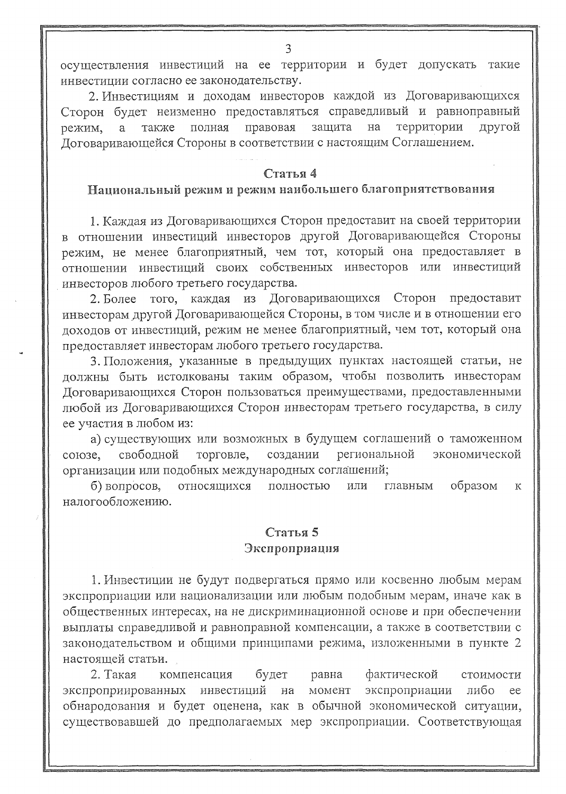осуществления инвестиций на ее территории и будет допускать такие инвестиции согласно ее законодательству.

2. Инвестициям и доходам инвесторов каждой из Договаривающихся Сторон будет неизменно предоставляться справедливый и равноправный защита территории другой полная правовая на режим, a также Договаривающейся Стороны в соответствии с настоящим Соглашением.

#### Статья 4

#### Национальный режим и режим наибольшего благоприятствования

1. Каждая из Договаривающихся Сторон предоставит на своей территории в отношении инвестиций инвесторов другой Договаривающейся Стороны режим, не менее благоприятный, чем тот, который она предоставляет в отношении инвестиций своих собственных инвесторов или инвестиций инвесторов любого третьего государства.

Договаривающихся Сторон  $2.$  Более того, каждая из предоставит инвесторам другой Договаривающейся Стороны, в том числе и в отношении его доходов от инвестиций, режим не менее благоприятный, чем тот, который она предоставляет инвесторам любого третьего государства.

3. Положения, указанные в предыдущих пунктах настоящей статьи, не должны быть истолкованы таким образом, чтобы позволить инвесторам Договаривающихся Сторон пользоваться преимуществами, предоставленными любой из Договаривающихся Сторон инвесторам третьего государства, в силу ее участия в любом из:

а) существующих или возможных в будущем соглашений о таможенном создании региональной экономической свободной торговле, союзе, организации или подобных международных соглашений;

образом б) вопросов, относящихся полностью  ${\rm M} {\rm J} {\rm I} {\rm M}$ главным К налогообложению.

## Статья 5

#### Экспроприация

1. Инвестиции не будут подвергаться прямо или косвенно любым мерам экспроприации или национализации или любым подобным мерам, иначе как в общественных интересах, на не дискриминационной основе и при обеспечении выплаты справедливой и равноправной компенсации, а также в соответствии с законодательством и общими принципами режима, изложенными в пункте 2 настоящей статьи.

2. Такая будет фактической компенсация равна стоимости экспроприированных инвестиций на MOMCHT экспроприации либо ee обнародования и будет оценена, как в обычной экономической ситуации, существовавшей до предполагаемых мер экспроприации. Соответствующая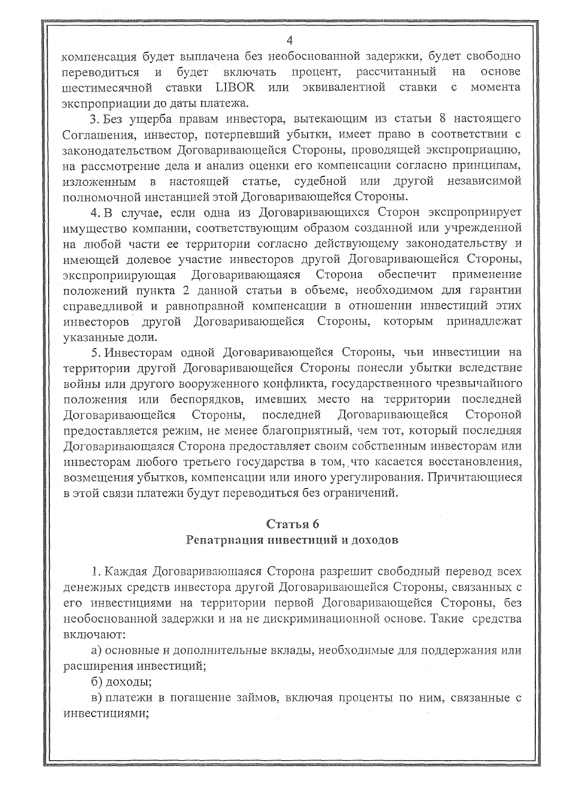компенсация будет выплачена без необоснованной задержки, будет свободно процент, рассчитанный будет включать на основе переводиться И эквивалентной LIBOR ИЛИ ставки шестимесячной ставки  $\mathbf{C}$ момента экспроприации до даты платежа.

3. Без ущерба правам инвестора, вытекающим из статьи 8 настоящего Соглашения, инвестор, потерпевший убытки, имеет право в соответствии с законодательством Договаривающейся Стороны, проводящей экспроприацию, на рассмотрение дела и анализ оценки его компенсации согласно принципам, судебной или другой независимой изложенным в настоящей статье, полномочной инстанцией этой Договаривающейся Стороны.

4. В случае, если одна из Договаривающихся Сторон экспроприирует имущество компании, соответствующим образом созданной или учрежденной на любой части ее территории согласно действующему законодательству и имеющей долевое участие инвесторов другой Договаривающейся Стороны, Договаривающаяся Сторона экспроприирующая обеспечит применение положений пункта 2 данной статьи в объеме, необходимом для гарантии справедливой и равноправной компенсации в отношении инвестиций этих другой Договаривающейся Стороны, которым принадлежат инвесторов указанные доли.

5. Инвесторам одной Договаривающейся Стороны, чьи инвестиции на территории другой Договаривающейся Стороны понесли убытки вследствие войны или другого вооруженного конфликта, государственного чрезвычайного положения или беспорядков, имевших место на территории последней Стороны, последней Договаривающейся Стороной Договаривающейся предоставляется режим, не менее благоприятный, чем тот, который последняя Договаривающаяся Сторона предоставляет своим собственным инвесторам или инвесторам любого третьего государства в том, что касается восстановления, возмещения убытков, компенсации или иного урегулирования. Причитающиеся в этой связи платежи будут переводиться без ограничений.

### Статья 6

#### Репатриация инвестиций и доходов

1. Каждая Договаривающаяся Сторона разрешит свободный перевод всех денежных средств инвестора другой Договаривающейся Стороны, связанных с его инвестициями на территории первой Договаривающейся Стороны, без необоснованной задержки и на не дискриминационной основе. Такие средства включают:

а) основные и дополнительные вклады, необходимые для поддержания или расширения инвестиций;

б) доходы;

в) платежи в погашение займов, включая проценты по ним, связанные с инвестициями;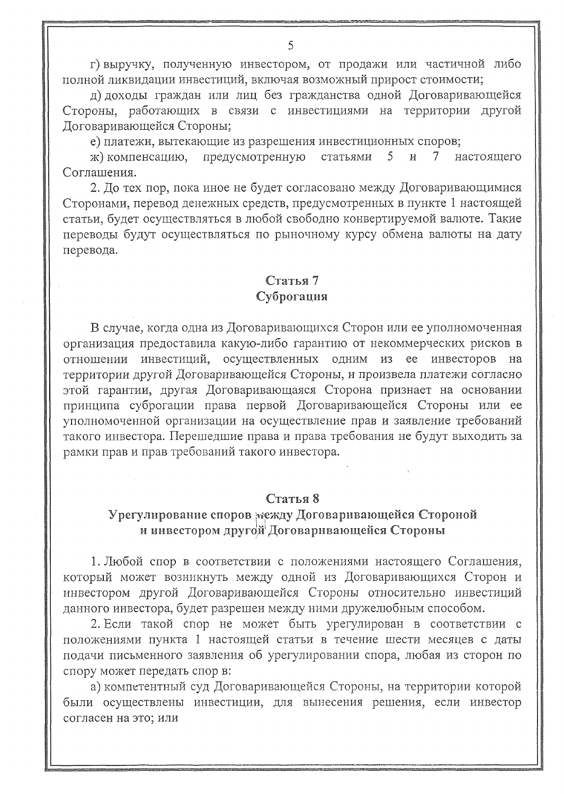г) выручку, полученную инвестором, от продажи или частичной либо полной ликвидации инвестиций, включая возможный прирост стоимости;

д) доходы граждан или лиц без гражданства одной Договаривающейся Стороны, работающих в связи с инвестициями на территории другой Договаривающейся Стороны;

е) платежи, вытекающие из разрешения инвестиционных споров;

предусмотренную 5  $\boldsymbol{\mathit{H}}$ ж) компенсацию, статьями  $\tau$ настоящего Соглашения.

2. До тех пор, пока иное не будет согласовано между Договаривающимися Сторонами, перевод денежных средств, предусмотренных в пункте 1 настоящей статьи, будет осуществляться в любой свободно конвертируемой валюте. Такие переводы будут осуществляться по рыночному курсу обмена валюты на дату перевода.

### Статья 7 Суброгация

В случае, когда одна из Договаривающихся Сторон или ее уполномоченная организация предоставила какую-либо гарантию от некоммерческих рисков в осуществленных одним из ее инвесторов на инвестиций, отношении территории другой Договаривающейся Стороны, и произвела платежи согласно этой гарантии, другая Договаривающаяся Сторона признает на основании принципа суброгации права первой Договаривающейся Стороны или ее уполномоченной организации на осуществление прав и заявление требований такого инвестора. Перешедшие права и права требования не будут выходить за рамки прав и прав требований такого инвестора.

### Статья 8

### Урегулирование споров между Договаривающейся Стороной и инвестором другой Договаривающейся Стороны

1. Любой спор в соответствии с положениями настоящего Соглашения, который может возникнуть между одной из Договаривающихся Сторон и инвестором другой Договаривающейся Стороны относительно инвестиций данного инвестора, будет разрешен между ними дружелюбным способом.

2. Если такой спор не может быть урегулирован в соответствии с положениями пункта 1 настоящей статьи в течение шести месяцев с даты подачи письменного заявления об урегулировании спора, любая из сторон по спору может передать спор в:

а) компетентный суд Договаривающейся Стороны, на территории которой были осуществлены инвестиции, для вынесения решения, если инвестор согласен на это; или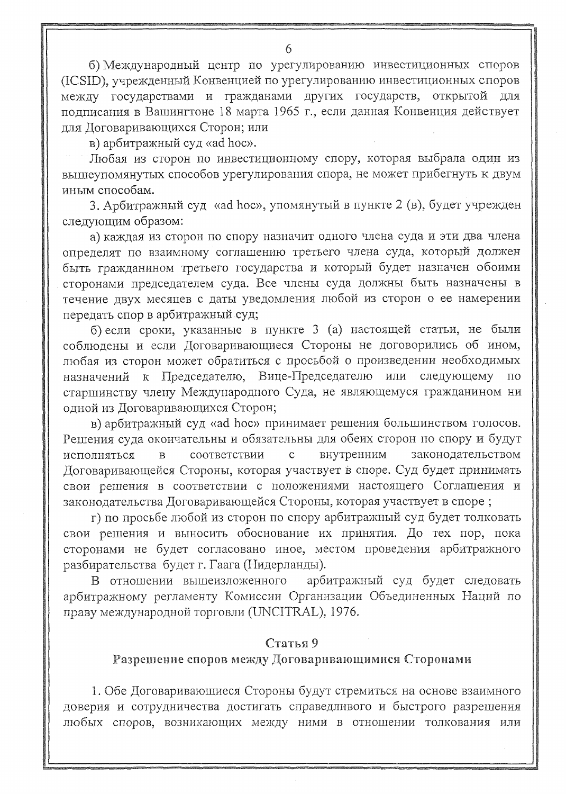б) Международный центр по урегулированию инвестиционных споров (ICSID), учрежденный Конвенцией по урегулированию инвестиционных споров между государствами и гражданами других государств, открытой для подписания в Вашингтоне 18 марта 1965 г., если данная Конвенция действует для Договаривающихся Сторон; или

в) арбитражный суд «ad hoc».

Любая из сторон по инвестиционному спору, которая выбрала один из вышеупомянутых способов урегулирования спора, не может прибегнуть к двум иным способам.

3. Арбитражный суд «ad hoc», упомянутый в пункте 2 (в), будет учрежден следующим образом:

а) каждая из сторон по спору назначит одного члена суда и эти два члена определят по взаимному соглашению третьего члена суда, который должен быть гражданином третьего государства и который будет назначен обоими сторонами председателем суда. Все члены суда должны быть назначены в течение двух месяцев с даты уведомления любой из сторон о ее намерении передать спор в арбитражный суд;

б) если сроки, указанные в пункте 3 (а) настоящей статьи, не были соблюдены и если Договаривающиеся Стороны не договорились об ином, любая из сторон может обратиться с просьбой о произведении необходимых к Председателю, Вице-Председателю или следующему по назначений старшинству члену Международного Суда, не являющемуся гражданином ни одной из Договаривающихся Сторон;

в) арбитражный суд «ad hoc» принимает решения большинством голосов. Решения суда окончательны и обязательны для обеих сторон по спору и будут  $\overline{B}$ соответствии  $\mathbf{C}$ внутренним законодательством исполняться Договаривающейся Стороны, которая участвует в споре. Суд будет принимать свои решения в соответствии с положениями настоящего Соглашения и законодательства Договаривающейся Стороны, которая участвует в споре;

г) по просьбе любой из сторон по спору арбитражный суд будет толковать свои решения и выносить обоснование их принятия. До тех пор, пока сторонами не будет согласовано иное, местом проведения арбитражного разбирательства будет г. Гаага (Нидерланды).

арбитражный суд будет следовать В отношении вышеизложенного арбитражному регламенту Комиссии Организации Объединенных Наций по праву международной торговли (UNCITRAL), 1976.

### Статья 9

### Разрешение споров между Договаривающимися Сторонами

1. Обе Договаривающиеся Стороны будут стремиться на основе взаимного доверия и сотрудничества достигать справедливого и быстрого разрешения любых споров, возникающих между ними в отношении толкования или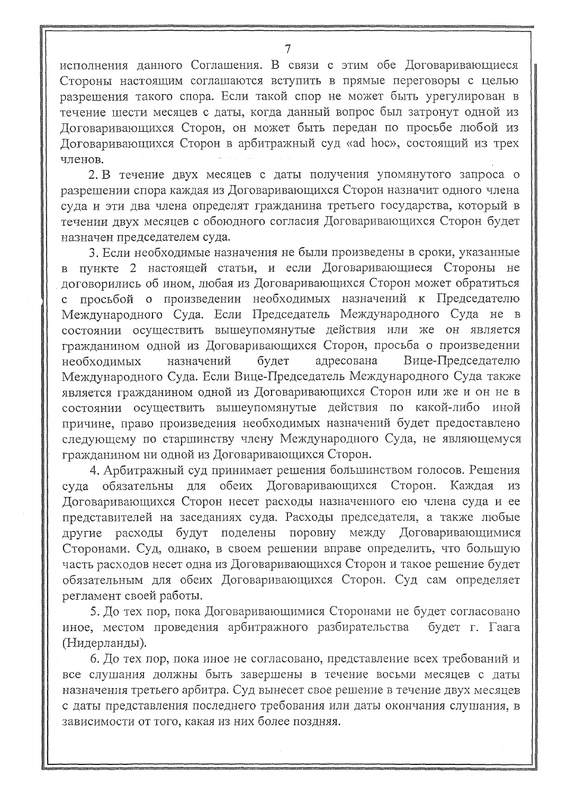исполнения данного Соглашения. В связи с этим обе Договаривающиеся Стороны настоящим соглашаются вступить в прямые переговоры с целью разрешения такого спора. Если такой спор не может быть урегулирован в течение шести месяцев с даты, когда данный вопрос был затронут одной из Договаривающихся Сторон, он может быть передан по просьбе любой из Договаривающихся Сторон в арбитражный суд «ad hoc», состоящий из трех членов.

2. В течение двух месяцев с даты получения упомянутого запроса о разрешении спора каждая из Договаривающихся Сторон назначит одного члена суда и эти два члена определят гражданина третьего государства, который в течении двух месяцев с обоюдного согласия Договаривающихся Сторон будет назначен председателем суда.

3. Если необходимые назначения не были произведены в сроки, указанные в пункте 2 настоящей статьи, и если Договаривающиеся Стороны  $He$ договорились об ином, любая из Договаривающихся Сторон может обратиться просьбой о произведении необходимых назначений к Председателю  $\mathbf{C}$ Международного Суда. Если Председатель Международного Суда не в состоянии осуществить вышеупомянутые действия или же он является гражданином одной из Договаривающихся Сторон, просьба о произведении необходимых назначений будет адресована Вице-Председателю Международного Суда. Если Вице-Председатель Международного Суда также является гражданином одной из Договаривающихся Сторон или же и он не в состоянии осуществить вышеупомянутые действия по какой-либо иной причине, право произведения необходимых назначений будет предоставлено следующему по старшинству члену Международного Суда, не являющемуся гражданином ни одной из Договаривающихся Сторон.

4. Арбитражный суд принимает решения большинством голосов. Решения обеих Договаривающихся обязательны для Сторон. Каждая И3 суда Договаривающихся Сторон несет расходы назначенного ею члена суда и ее представителей на заседаниях суда. Расходы председателя, а также любые будут поделены поровну между Договаривающимися другие расходы Сторонами. Суд, однако, в своем решении вправе определить, что большую часть расходов несет одна из Договаривающихся Сторон и такое решение будет обязательным для обеих Договаривающихся Сторон. Суд сам определяет регламент своей работы.

5. До тех пор, пока Договаривающимися Сторонами не будет согласовано иное, местом проведения арбитражного разбирательства будет г. Гаага (Нидерланды).

6. До тех пор, пока иное не согласовано, представление всех требований и все слушания должны быть завершены в течение восьми месяцев с даты назначения третьего арбитра. Суд вынесет свое решение в течение двух месяцев с даты представления последнего требования или даты окончания слушания, в зависимости от того, какая из них более поздняя.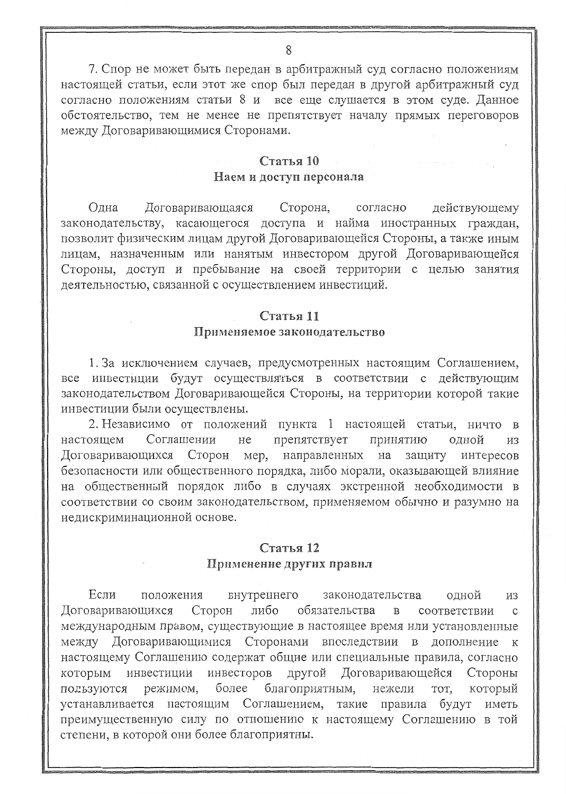7. Спор не может быть передан в арбитражный суд согласно положениям настоящей статьи, если этот же спор был передан в другой арбитражный суд согласно положениям статьи 8 и все еще слушается в этом суле. Ланное обстоятельство, тем не менее не препятствует началу прямых переговоров между Договаривающимися Сторонами.

### Статья 10 Наем и доступ персонала

Олна Договаривающаяся Сторона, согласно лействующему законодательству, касающегося доступа и найма иностранных граждан. позволит физическим лицам другой Договаривающейся Стороны. а также иным лицам, назначенным или нанятым инвестором другой Договаривающейся Стороны, доступ и пребывание на своей территории с целью занятия деятельностью, связанной с осуществлением инвестиций.

### Статья 11

#### Применяемое законолательство

1. За исключением случаев, предусмотренных настоящим Соглашением. все инвестиции будут осуществляться в соответствии с лействующим законодательством Договаривающейся Стороны, на территории которой такие инвестиции были осуществлены.

2. Независимо от положений пункта 1 настоящей статьи, ничто в препятствует настоящем Соглашении He ПОИНЯТИЮ  $\alpha$ лной  $\overline{u}$ мер, направленных Договаривающихся Сторон на зашиту интересов безопасности или общественного порядка, либо морали, оказывающей влияние на общественный порядок либо в случаях экстренной необходимости в соответствии со своим законодательством, применяемом обычно и разумно на недискриминационной основе.

### Статья 12 Применение других правил

Если внутрейнего законолательства олной положения  $732$ Сторон либо обязательства Договаривающихся  $\mathbf{R}$ СООТВЕТСТВИИ международным правом, существующие в настоящее время или установленные между Договаривающимися Сторонами впоследствии в лополнение к настоящему Соглашению содержат общие или специальные правила, согласно инвестиции инвесторов другой Договаривающейся Стороны которым благоприятным. более KOTODLIN пользуются режимом. нежели **TOT** настоящим Соглашением, такие правила будут устанавливается иметь преимущественную силу по отношению к настоящему Соглашению в той степени, в которой они более благоприятны.